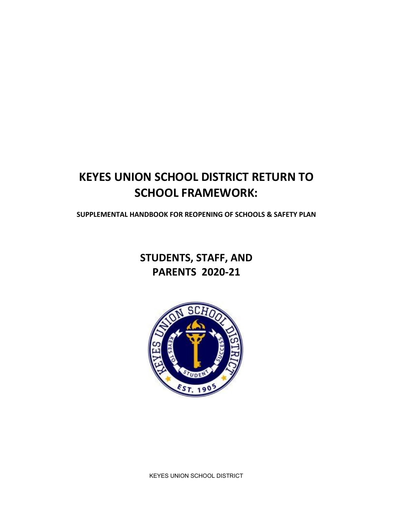## **KEYES UNION SCHOOL DISTRICT RETURN TO SCHOOL FRAMEWORK:**

**SUPPLEMENTAL HANDBOOK FOR REOPENING OF SCHOOLS & SAFETY PLAN**

## **STUDENTS, STAFF, AND PARENTS 2020-21**



KEYES UNION SCHOOL DISTRICT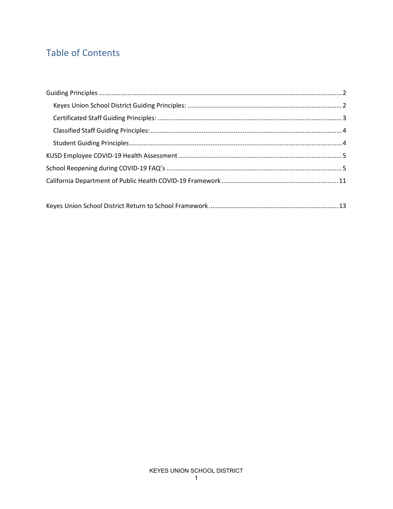### **Table of Contents**

|--|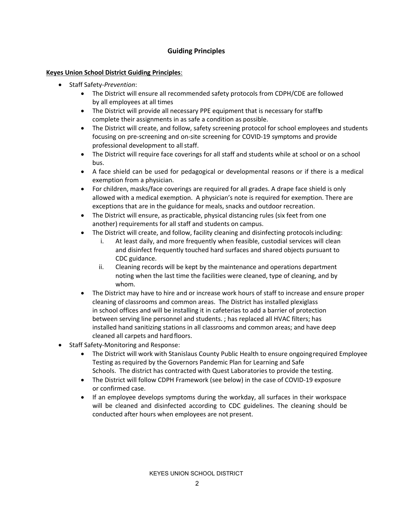### **Guiding Principles**

#### <span id="page-2-1"></span><span id="page-2-0"></span>**Keyes Union School District Guiding Principles**:

- Staff Safety-*Prevention*:
	- The District will ensure all recommended safety protocols from CDPH/CDE are followed by all employees at all times
	- The District will provide all necessary PPE equipment that is necessary for staffto complete their assignments in as safe a condition as possible.
	- The District will create, and follow, safety screening protocol for school employees and students focusing on pre-screening and on-site screening for COVID-19 symptoms and provide professional development to all staff.
	- The District will require face coverings for all staff and students while at school or on a school bus.
	- A face shield can be used for pedagogical or developmental reasons or if there is a medical exemption from a physician.
	- For children, masks/face coverings are required for all grades. A drape face shield is only allowed with a medical exemption. A physician's note is required for exemption. There are exceptions that are in the guidance for meals, snacks and outdoor recreation.
	- The District will ensure, as practicable, physical distancing rules (six feet from one another) requirements for all staff and students on campus.
	- The District will create, and follow, facility cleaning and disinfecting protocols including:
		- i. At least daily, and more frequently when feasible, custodial services will clean and disinfect frequently touched hard surfaces and shared objects pursuant to CDC guidance.
		- ii. Cleaning records will be kept by the maintenance and operations department noting when the last time the facilities were cleaned, type of cleaning, and by whom.
	- The District may have to hire and or increase work hours of staff to increase and ensure proper cleaning of classrooms and common areas. The District has installed plexiglass in school offices and will be installing it in cafeterias to add a barrier of protection between serving line personnel and students. ; has replaced all HVAC filters; has installed hand sanitizing stations in all classrooms and common areas; and have deep cleaned all carpets and hardfloors.
- Staff Safety-Monitoring and Response:
	- The District will work with Stanislaus County Public Health to ensure ongoing required Employee Testing as required by the Governors Pandemic Plan for Learning and Safe Schools. The district has contracted with Quest Laboratories to provide the testing.
	- The District will follow CDPH Framework (see below) in the case of COVID-19 exposure or confirmed case.
	- If an employee develops symptoms during the workday, all surfaces in their workspace will be cleaned and disinfected according to CDC guidelines. The cleaning should be conducted after hours when employees are not present.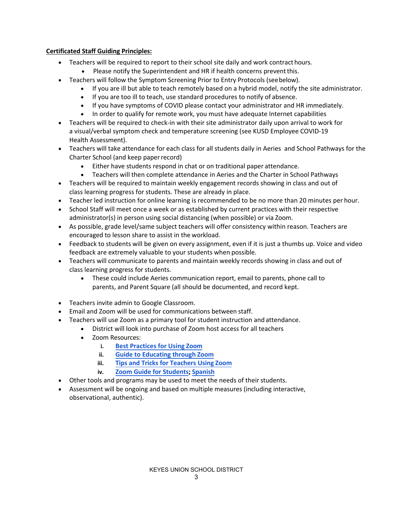#### <span id="page-3-0"></span>**Certificated Staff Guiding Principles:**

- Teachers will be required to report to their school site daily and work contract hours.
	- Please notify the Superintendent and HR if health concerns prevent this.
- Teachers will follow the Symptom Screening Prior to Entry Protocols (seebelow).
	- If you are ill but able to teach remotely based on a hybrid model, notify the site administrator.
	- If you are too ill to teach, use standard procedures to notify of absence.
	- If you have symptoms of COVID please contact your administrator and HR immediately.
	- In order to qualify for remote work, you must have adequate Internet capabilities
- Teachers will be required to check-in with their site administrator daily upon arrival to work for a visual/verbal symptom check and temperature screening (see KUSD Employee COVID-19 Health Assessment).
- Teachers will take attendance for each class for all students daily in Aeries and School Pathways for the Charter School (and keep paper record)
	- Either have students respond in chat or on traditional paper attendance.
	- Teachers will then complete attendance in Aeries and the Charter in School Pathways
- Teachers will be required to maintain weekly engagement records showing in class and out of class learning progress for students. These are already in place.
- Teacher led instruction for online learning is recommended to be no more than 20 minutes per hour.
- School Staff will meet once a week or as established by current practices with their respective administrator(s) in person using social distancing (when possible) or via Zoom.
- As possible, grade level/same subject teachers will offer consistency within reason. Teachers are encouraged to lesson share to assist in the workload.
- Feedback to students will be given on every assignment, even if it is just a thumbs up. Voice and video feedback are extremely valuable to your students when possible.
- Teachers will communicate to parents and maintain weekly records showing in class and out of class learning progress for students.
	- These could include Aeries communication report, email to parents, phone call to parents, and Parent Square (all should be documented, and record kept.
- Teachers invite admin to Google Classroom.
- Email and Zoom will be used for communications between staff.
- Teachers will use Zoom as a primary tool for student instruction and attendance.
	- District will look into purchase of Zoom host access for all teachers
	- Zoom Resources:
		- **i. Best Practices for Using Zoom**
		- **ii. Guide to Educating through Zoom**
		- **iii. Tips and Tricks for Teachers Using Zoom**
		- **iv. [Zoom Guide for Students;](https://blog.zoom.us/wordpress/2020/03/27/best-practices-for-securing-your-virtual-classroom/) Spanish**
- Other tools and programs [may be used to](https://zoom.us/docs/doc/Comprehensive%20Guide%20to%20Educating%20Through%20Zoom.pdf) meet the needs of their students.
- Assessment wil[l be ongoing and based on](https://drive.google.com/file/d/1-ENGvYaMd90oIm367ILA6_b0pFfha2oj/view?usp=sharing) [multiple](https://drive.google.com/file/d/1V3txceA21DuokbW1hnw4QsaqJluwlDA5/view?usp=sharing) measures (including interactive, observational, [authentic\).](https://drive.google.com/file/d/1V3txceA21DuokbW1hnw4QsaqJluwlDA5/view?usp=sharing)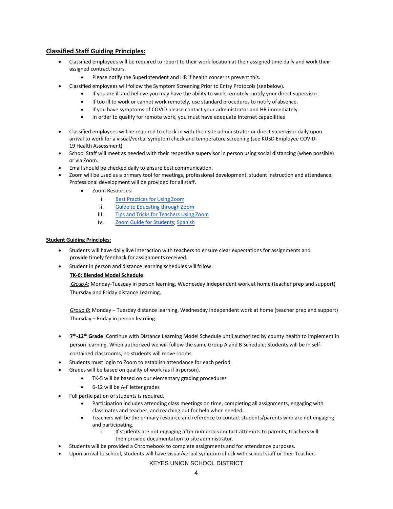#### <span id="page-4-0"></span>**Classified Staff Guiding Principles:**

- Classified employees will be required to report to their work location at their assigned time daily and work their assigned contract hours.
	- Please notify the Superintendent and HR if health concerns prevent this.
- Classified employees will follow the Symptom Screening Prior to Entry Protocols (seebelow).
	- If you are ill and believe you may have the ability to work remotely, notify your direct supervisor.
	- If too ill to work or cannot work remotely, use standard procedures to notify ofabsence.
	- If you have symptoms of COVID please contact your administrator and HR immediately.
	- In order to qualify for remote work, you must have adequate Internet capabilities
- Classified employees will be required to check-in with their site administrator or direct supervisor daily upon arrival to work for a visual/verbal symptom check and temperature screening (see KUSD Employee COVID-19 Health Assessment).
- School Staff will meet as needed with their respective supervisor in person using social distancing (when possible) or via Zoom.
- Email should be checked daily to ensure best communication.
- Zoom will be used as a primary tool for meetings, professional development, student instruction and attendance. Professional development will be provided for all staff.
	- Zoom Resources:
		- i. Best Practices for Using Zoom
		- ii. [Guide to Educating through](https://blog.zoom.us/wordpress/2020/03/27/best-practices-for-securing-your-virtual-classroom/) Zoom
		- iii. [Tips and Tricks for Teachers Using](https://zoom.us/docs/doc/Comprehensive%20Guide%20to%20Educating%20Through%20Zoom.pdf) Zoom
		- iv. [Zoom Guide for Students;](https://drive.google.com/file/d/1-ENGvYaMd90oIm367ILA6_b0pFfha2oj/view?usp=sharing) [Spanish](https://drive.google.com/file/d/1V3txceA21DuokbW1hnw4QsaqJluwlDA5/view?usp=sharing)

#### <span id="page-4-1"></span>**Student Guiding Principles:**

- Students will have daily live interaction with teachers to ensure clear expectations for assignments and provide timely feedback for assignments received.
- Student in person and distance learning schedules will follow:

#### **TK-6: Blended Model Schedule**:

*Group A***:** Monday-Tuesday in person learning, Wednesday independent work at home (teacher prep and support) Thursday and Friday distance Learning.

*Group B***:** Monday – Tuesday distance learning, Wednesday independent work at home (teacher prep and support) Thursday – Friday in person learning.

- **7th-12th Grade**: Continue with Distance Learning Model Schedule until authorized by county health to implement in person learning. When authorized we will follow the same Group A and B Schedule; Students will be in selfcontained classrooms, no students will move rooms.
- Students must login to Zoom to establish attendance for each period.
- Grades will be based on quality of work (as if in person).
	- TK-5 will be based on our elementary grading procedures
	- 6-12 will be A-F letter grades
- Full participation of students is required.
	- Participation includes attending class meetings on time, completing all assignments, engaging with classmates and teacher, and reaching out for help when needed.
	- Teachers will be the primary resource and reference to contact students/parents who are not engaging and participating.
		- i. If students are not engaging after numerous contact attempts to parents, teachers will then provide documentation to site administrator.
- Students will be provided a Chromebook to complete assignments and for attendance purposes.
- Upon arrival to school, students will have visual/verbal symptom check with school staff or their teacher.

#### KEYES UNION SCHOOL DISTRICT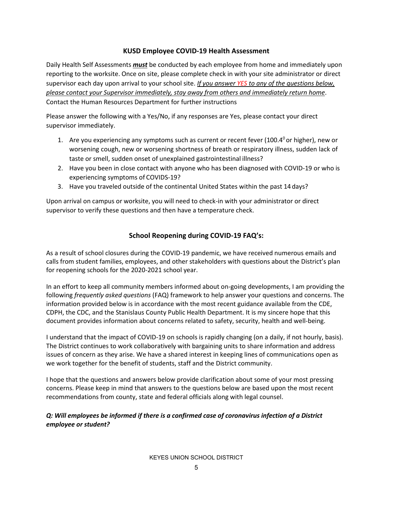### **KUSD Employee COVID-19 Health Assessment**

<span id="page-5-0"></span>Daily Health Self Assessments *must* be conducted by each employee from home and immediately upon reporting to the worksite. Once on site, please complete check in with your site administrator or direct supervisor each day upon arrival to your school site. *If you answer YES to any of the questions below, please contact your Supervisor immediately, stay away from others and immediately return home*. Contact the Human Resources Department for further instructions

Please answer the following with a Yes/No, if any responses are Yes, please contact your direct supervisor immediately.

- 1. Are you experiencing any symptoms such as current or recent fever (100.4 $^{\circ}$  or higher), new or worsening cough, new or worsening shortness of breath or respiratory illness, sudden lack of taste or smell, sudden onset of unexplained gastrointestinal illness?
- 2. Have you been in close contact with anyone who has been diagnosed with COVID-19 or who is experiencing symptoms of COVIDS-19?
- 3. Have you traveled outside of the continental United States within the past 14 days?

Upon arrival on campus or worksite, you will need to check-in with your administrator or direct supervisor to verify these questions and then have a temperature check.

### **School Reopening during COVID-19 FAQ's:**

<span id="page-5-1"></span>As a result of school closures during the COVID-19 pandemic, we have received numerous emails and calls from student families, employees, and other stakeholders with questions about the District's plan for reopening schools for the 2020-2021 school year.

In an effort to keep all community members informed about on-going developments, I am providing the following *frequently asked questions* (FAQ) framework to help answer your questions and concerns. The information provided below is in accordance with the most recent guidance available from the CDE, CDPH, the CDC, and the Stanislaus County Public Health Department. It is my sincere hope that this document provides information about concerns related to safety, security, health and well-being.

I understand that the impact of COVID-19 on schools is rapidly changing (on a daily, if not hourly, basis). The District continues to work collaboratively with bargaining units to share information and address issues of concern as they arise. We have a shared interest in keeping lines of communications open as we work together for the benefit of students, staff and the District community.

I hope that the questions and answers below provide clarification about some of your most pressing concerns. Please keep in mind that answers to the questions below are based upon the most recent recommendations from county, state and federal officials along with legal counsel.

### *Q: Will employees be informed if there is a confirmed case of coronavirus infection of a District employee or student?*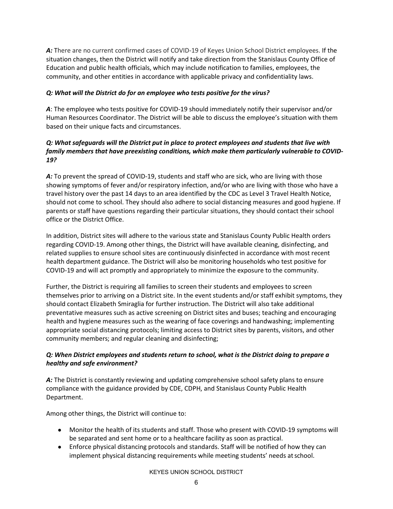*A:* There are no current confirmed cases of COVID-19 of Keyes Union School District employees. If the situation changes, then the District will notify and take direction from the Stanislaus County Office of Education and public health officials, which may include notification to families, employees, the community, and other entities in accordance with applicable privacy and confidentiality laws.

#### *Q: What will the District do for an employee who tests positive for the virus?*

*A*: The employee who tests positive for COVID-19 should immediately notify their supervisor and/or Human Resources Coordinator. The District will be able to discuss the employee's situation with them based on their unique facts and circumstances.

#### *Q: What safeguards will the District put in place to protect employees and students that live with family members that have preexisting conditions, which make them particularly vulnerable to COVID-19?*

*A:* To prevent the spread of COVID-19, students and staff who are sick, who are living with those showing symptoms of fever and/or respiratory infection, and/or who are living with those who have a travel history over the past 14 days to an area identified by the CDC as Level 3 Travel Health Notice, should not come to school. They should also adhere to social distancing measures and good hygiene. If parents or staff have questions regarding their particular situations, they should contact their school office or the District Office.

In addition, District sites will adhere to the various state and Stanislaus County Public Health orders regarding COVID-19. Among other things, the District will have available cleaning, disinfecting, and related supplies to ensure school sites are continuously disinfected in accordance with most recent health department guidance. The District will also be monitoring households who test positive for COVID-19 and will act promptly and appropriately to minimize the exposure to the community.

Further, the District is requiring all families to screen their students and employees to screen themselves prior to arriving on a District site. In the event students and/or staff exhibit symptoms, they should contact Elizabeth Smiraglia for further instruction. The District will also take additional preventative measures such as active screening on District sites and buses; teaching and encouraging health and hygiene measures such as the wearing of face coverings and handwashing; implementing appropriate social distancing protocols; limiting access to District sites by parents, visitors, and other community members; and regular cleaning and disinfecting;

### *Q: When District employees and students return to school, what is the District doing to prepare a healthy and safe environment?*

A: The District is constantly reviewing and updating comprehensive school safety plans to ensure compliance with the guidance provided by CDE, CDPH, and Stanislaus County Public Health Department.

Among other things, the District will continue to:

- Monitor the health of its students and staff. Those who present with COVID-19 symptoms will be separated and sent home or to a healthcare facility as soon as practical.
- Enforce physical distancing protocols and standards. Staff will be notified of how they can implement physical distancing requirements while meeting students' needs atschool.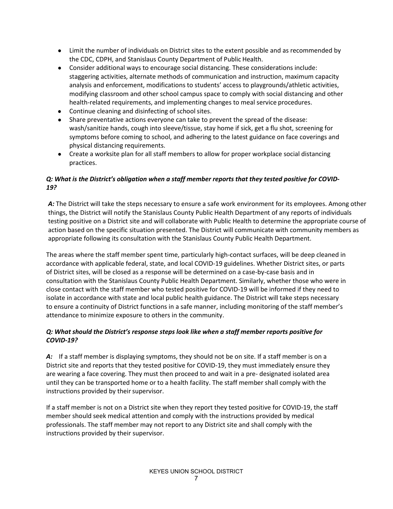- Limit the number of individuals on District sites to the extent possible and as recommended by the CDC, CDPH, and Stanislaus County Department of Public Health.
- Consider additional ways to encourage social distancing. These considerations include: staggering activities, alternate methods of communication and instruction, maximum capacity analysis and enforcement, modifications to students' access to playgrounds/athletic activities, modifying classroom and other school campus space to comply with social distancing and other health-related requirements, and implementing changes to meal service procedures.
- Continue cleaning and disinfecting of school sites.
- Share preventative actions everyone can take to prevent the spread of the disease: wash/sanitize hands, cough into sleeve/tissue, stay home if sick, get a flu shot, screening for symptoms before coming to school, and adhering to the latest guidance on face coverings and physical distancing requirements.
- Create a worksite plan for all staff members to allow for proper workplace social distancing practices.

### *Q: What is the District's obligation when a staff member reports that they tested positive for COVID-19?*

*A:* The District will take the steps necessary to ensure a safe work environment for its employees. Among other things, the District will notify the Stanislaus County Public Health Department of any reports of individuals testing positive on a District site and will collaborate with Public Health to determine the appropriate course of action based on the specific situation presented. The District will communicate with community members as appropriate following its consultation with the Stanislaus County Public Health Department.

The areas where the staff member spent time, particularly high-contact surfaces, will be deep cleaned in accordance with applicable federal, state, and local COVID-19 guidelines. Whether District sites, or parts of District sites, will be closed as a response will be determined on a case-by-case basis and in consultation with the Stanislaus County Public Health Department. Similarly, whether those who were in close contact with the staff member who tested positive for COVID-19 will be informed if they need to isolate in accordance with state and local public health guidance. The District will take steps necessary to ensure a continuity of District functions in a safe manner, including monitoring of the staff member's attendance to minimize exposure to others in the community.

### *Q: What should the District's response steps look like when a staff member reports positive for COVID-19?*

*A:* If a staff member is displaying symptoms, they should not be on site. If a staff member is on a District site and reports that they tested positive for COVID-19, they must immediately ensure they are wearing a face covering. They must then proceed to and wait in a pre- designated isolated area until they can be transported home or to a health facility. The staff member shall comply with the instructions provided by their supervisor.

If a staff member is not on a District site when they report they tested positive for COVID-19, the staff member should seek medical attention and comply with the instructions provided by medical professionals. The staff member may not report to any District site and shall comply with the instructions provided by their supervisor.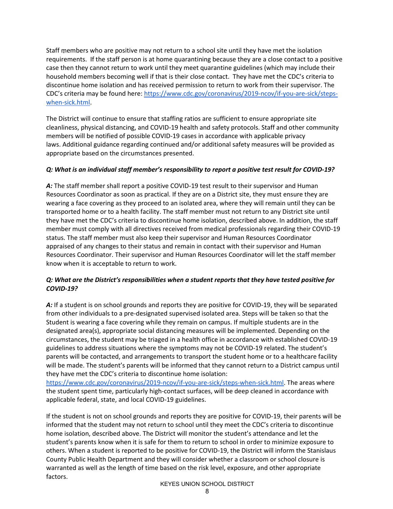Staff members who are positive may not return to a school site until they have met the isolation requirements. If the staff person is at home quarantining because they are a close contact to a positive case then they cannot return to work until they meet quarantine guidelines (which may include their household members becoming well if that is their close contact. They have met the CDC's criteria to discontinue home isolation and has received permission to return to work from their supervisor. The CDC's criteria may be found here[: https://www.cdc.gov/coronavirus/2019-ncov/if-you-are-sick/steps](https://www.cdc.gov/coronavirus/2019-ncov/if-you-are-sick/steps-when-sick.html)[when-sick.html.](https://www.cdc.gov/coronavirus/2019-ncov/if-you-are-sick/steps-when-sick.html)

The District will continue to ensure that staffing ratios are sufficient to ensure appropriate site cleanliness, physical distancing, and COVID-19 health and safety protocols. Staff and other community members will be notified of possible COVID-19 cases in accordance with applicable privacy laws. Additional guidance regarding continued and/or additional safety measures will be provided as appropriate based on the circumstances presented.

#### *Q: What is an individual staff member's responsibility to report a positive test result for COVID-19?*

A: The staff member shall report a positive COVID-19 test result to their supervisor and Human Resources Coordinator as soon as practical. If they are on a District site, they must ensure they are wearing a face covering as they proceed to an isolated area, where they will remain until they can be transported home or to a health facility. The staff member must not return to any District site until they have met the CDC's criteria to discontinue home isolation, described above. In addition, the staff member must comply with all directives received from medical professionals regarding their COVID-19 status. The staff member must also keep their supervisor and Human Resources Coordinator appraised of any changes to their status and remain in contact with their supervisor and Human Resources Coordinator. Their supervisor and Human Resources Coordinator will let the staff member know when it is acceptable to return to work.

### *Q: What are the District's responsibilities when a student reports that they have tested positive for COVID-19?*

*A:* If a student is on school grounds and reports they are positive for COVID-19, they will be separated from other individuals to a pre-designated supervised isolated area. Steps will be taken so that the Student is wearing a face covering while they remain on campus. If multiple students are in the designated area(s), appropriate social distancing measures will be implemented. Depending on the circumstances, the student may be triaged in a health office in accordance with established COVID-19 guidelines to address situations where the symptoms may not be COVID-19 related. The student's parents will be contacted, and arrangements to transport the student home or to a healthcare facility will be made. The student's parents will be informed that they cannot return to a District campus until they have met the CDC's criteria to discontinue home isolation:

[https://www.cdc.gov/coronavirus/2019-ncov/if-you-are-sick/steps-when-sick.html.](https://www.cdc.gov/coronavirus/2019-ncov/if-you-are-sick/steps-when-sick.html) The areas where the student spent time, particularly high-contact surfaces, will be deep cleaned in accordance with applicable federal, state, and local COVID-19 guidelines.

If the student is not on school grounds and reports they are positive for COVID-19, their parents will be informed that the student may not return to school until they meet the CDC's criteria to discontinue home isolation, described above. The District will monitor the student's attendance and let the student's parents know when it is safe for them to return to school in order to minimize exposure to others. When a student is reported to be positive for COVID-19, the District will inform the Stanislaus County Public Health Department and they will consider whether a classroom or school closure is warranted as well as the length of time based on the risk level, exposure, and other appropriate factors.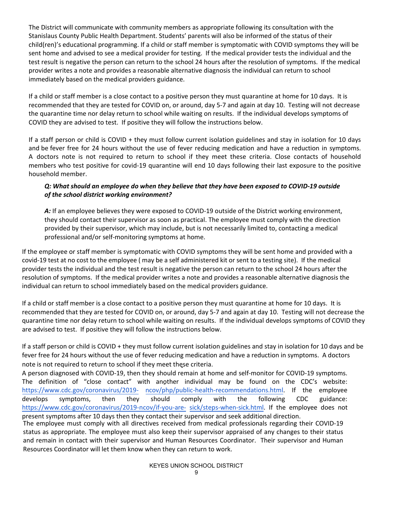The District will communicate with community members as appropriate following its consultation with the Stanislaus County Public Health Department. Students' parents will also be informed of the status of their child(ren)'s educational programming. If a child or staff member is symptomatic with COVID symptoms they will be sent home and advised to see a medical provider for testing. If the medical provider tests the individual and the test result is negative the person can return to the school 24 hours after the resolution of symptoms. If the medical provider writes a note and provides a reasonable alternative diagnosis the individual can return to school immediately based on the medical providers guidance.

If a child or staff member is a close contact to a positive person they must quarantine at home for 10 days. It is recommended that they are tested for COVID on, or around, day 5-7 and again at day 10. Testing will not decrease the quarantine time nor delay return to school while waiting on results. If the individual develops symptoms of COVID they are advised to test. If positive they will follow the instructions below.

If a staff person or child is COVID + they must follow current isolation guidelines and stay in isolation for 10 days and be fever free for 24 hours without the use of fever reducing medication and have a reduction in symptoms. A doctors note is not required to return to school if they meet these criteria. Close contacts of household members who test positive for covid-19 quarantine will end 10 days following their last exposure to the positive household member.

### *Q: What should an employee do when they believe that they have been exposed to COVID-19 outside of the school district working environment?*

A: If an employee believes they were exposed to COVID-19 outside of the District working environment, they should contact their supervisor as soon as practical. The employee must comply with the direction provided by their supervisor, which may include, but is not necessarily limited to, contacting a medical professional and/or self-monitoring symptoms at home.

If the employee or staff member is symptomatic with COVID symptoms they will be sent home and provided with a covid-19 test at no cost to the employee ( may be a self administered kit or sent to a testing site). If the medical provider tests the individual and the test result is negative the person can return to the school 24 hours after the resolution of symptoms. If the medical provider writes a note and provides a reasonable alternative diagnosis the individual can return to school immediately based on the medical providers guidance.

If a child or staff member is a close contact to a positive person they must quarantine at home for 10 days. It is recommended that they are tested for COVID on, or around, day 5-7 and again at day 10. Testing will not decrease the quarantine time nor delay return to school while waiting on results. If the individual develops symptoms of COVID they are advised to test. If positive they will follow the instructions below.

If a staff person or child is COVID + they must follow current isolation guidelines and stay in isolation for 10 days and be fever free for 24 hours without the use of fever reducing medication and have a reduction in symptoms. A doctors note is not required to return to school if they meet these criteria.

A person diagnosed with COVID-19, then they should remain at home and self-monitor for COVID-19 symptoms. The definition [of "close contact"](https://www.cdc.gov/coronavirus/2019-ncov/php/public-health-recommendations.html) with another individual may be found on the CDC's website: https://www.cdc.gov/coronavirus/2019- [ncov/php/public-health-recommendations.html.](https://www.cdc.gov/coronavirus/2019-ncov/php/public-health-recommendations.html) If the employe[e](https://www.cdc.gov/coronavirus/2019-ncov/if-you-are-sick/steps-when-sick.html) [develops symptoms, then they should co](https://www.cdc.gov/coronavirus/2019-ncov/if-you-are-sick/steps-when-sick.html)mply with the following CDC guidance: https://www.cdc.gov/coronavirus/2019-ncov/if-you-are- [sick/steps-when-sick.html.](https://www.cdc.gov/coronavirus/2019-ncov/if-you-are-sick/steps-when-sick.html) If the employee does not present symptoms after 10 days then they contact their supervisor and seek additional direction. The employee must comply with all directives received from medical professionals regarding their COVID-19

status as appropriate. The employee must also keep their supervisor appraised of any changes to their status and remain in contact with their supervisor and Human Resources Coordinator. Their supervisor and Human Resources Coordinator will let them know when they can return to work.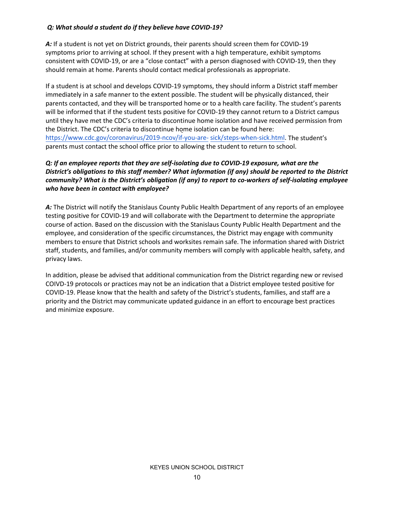#### *Q: What should a student do if they believe have COVID-19?*

*A:* If a student is not yet on District grounds, their parents should screen them for COVID-19 symptoms prior to arriving at school. If they present with a high temperature, exhibit symptoms consistent with COVID-19, or are a "close contact" with a person diagnosed with COVID-19, then they should remain at home. Parents should contact medical professionals as appropriate.

If a student is at school and develops COVID-19 symptoms, they should inform a District staff member immediately in a safe manner to the extent possible. The student will be physically distanced, their parents contacted, and they will be transported home or to a health care facility. The student's parents will be informed that if the student tests positive for COVID-19 they cannot return to a District campus until they have met the CDC's criteria to discontinue home isolation and have received permission from the District. The CDC's criteria to discontinue home isolation can be found here: [https://www.cdc.gov/coronavirus/2019-ncov/if-you-are- sick/steps-when-sick.html.](https://www.cdc.gov/coronavirus/2019-ncov/if-you-are-sick/steps-when-sick.html) The student's parents must contact the school office prior to allowing the student to return to school.

### *Q: If an employee reports that they are self-isolating due to COVID-19 exposure, what are the District's obligations to this staff member? What information (if any) should be reported to the District community? What is the District's obligation (if any) to report to co-workers of self-isolating employee who have been in contact with employee?*

A: The District will notify the Stanislaus County Public Health Department of any reports of an employee testing positive for COVID-19 and will collaborate with the Department to determine the appropriate course of action. Based on the discussion with the Stanislaus County Public Health Department and the employee, and consideration of the specific circumstances, the District may engage with community members to ensure that District schools and worksites remain safe. The information shared with District staff, students, and families, and/or community members will comply with applicable health, safety, and privacy laws.

In addition, please be advised that additional communication from the District regarding new or revised COIVD-19 protocols or practices may not be an indication that a District employee tested positive for COVID-19. Please know that the health and safety of the District's students, families, and staff are a priority and the District may communicate updated guidance in an effort to encourage best practices and minimize exposure.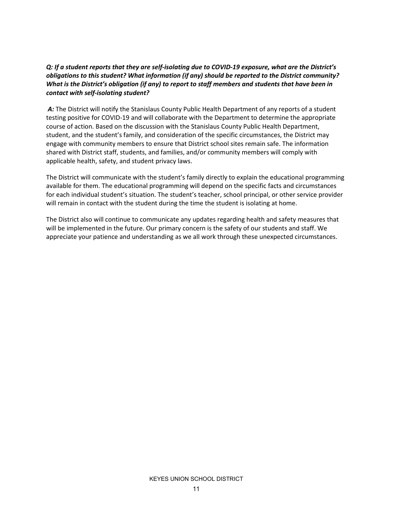### *Q: If a student reports that they are self-isolating due to COVID-19 exposure, what are the District's obligations to this student? What information (if any) should be reported to the District community? What is the District's obligation (if any) to report to staff members and students that have been in contact with self-isolating student?*

A: The District will notify the Stanislaus County Public Health Department of any reports of a student testing positive for COVID-19 and will collaborate with the Department to determine the appropriate course of action. Based on the discussion with the Stanislaus County Public Health Department, student, and the student's family, and consideration of the specific circumstances, the District may engage with community members to ensure that District school sites remain safe. The information shared with District staff, students, and families, and/or community members will comply with applicable health, safety, and student privacy laws.

The District will communicate with the student's family directly to explain the educational programming available for them. The educational programming will depend on the specific facts and circumstances for each individual student's situation. The student's teacher, school principal, or other service provider will remain in contact with the student during the time the student is isolating at home.

The District also will continue to communicate any updates regarding health and safety measures that will be implemented in the future. Our primary concern is the safety of our students and staff. We appreciate your patience and understanding as we all work through these unexpected circumstances.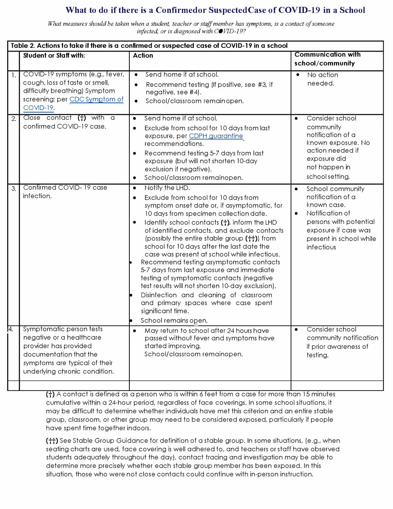### What to do if there is a Confirmedor Suspected Case of COVID-19 in a School

*What measures should be taken when a student, teacher or staff member has symptoms, is a contact of someone infected, or is diagnosed with COVID-19?* 

| Table 2. Actions to take if there is a confirmed or suspected case of COVID-19 in a school |                                                                                                                                                                           |                                                                                                                                                                                                                                                                                                                                                                                                                                                                                                                                                                                                                                                                                                                                                              |                                                                                                                                                                                              |  |  |  |  |  |  |
|--------------------------------------------------------------------------------------------|---------------------------------------------------------------------------------------------------------------------------------------------------------------------------|--------------------------------------------------------------------------------------------------------------------------------------------------------------------------------------------------------------------------------------------------------------------------------------------------------------------------------------------------------------------------------------------------------------------------------------------------------------------------------------------------------------------------------------------------------------------------------------------------------------------------------------------------------------------------------------------------------------------------------------------------------------|----------------------------------------------------------------------------------------------------------------------------------------------------------------------------------------------|--|--|--|--|--|--|
|                                                                                            | <b>Student or Staff with:</b>                                                                                                                                             | <b>Action</b>                                                                                                                                                                                                                                                                                                                                                                                                                                                                                                                                                                                                                                                                                                                                                | <b>Communication with</b><br>school/community                                                                                                                                                |  |  |  |  |  |  |
| $\mathbf{1}$ .                                                                             | COVID-19 symptoms (e.g., fever,<br>cough, loss of taste or smell,<br>difficulty breathing) Symptom<br>screening: per CDC Symptom of<br>COVID-19.                          | Send home if at school.<br>$\bullet$<br>Recommend testing (If positive, see #3, if<br>$\bullet$<br>negative, see #4).<br>School/classroom remainopen.<br>$\bullet$                                                                                                                                                                                                                                                                                                                                                                                                                                                                                                                                                                                           | No action<br>needed.                                                                                                                                                                         |  |  |  |  |  |  |
| $\overline{2}$                                                                             | Close contact $(+)$ with a<br>confirmed COVID-19 case.                                                                                                                    | Send home if at school.<br>$\bullet$<br>Exclude from school for 10 days from last<br>$\bullet$<br>exposure, per CDPH quarantine<br>recommendations.<br>Recommend testing 5-7 days from last<br>٠<br>exposure (but will not shorten 10-day<br>exclusion if negative).<br>School/classroom remainopen.<br>٠                                                                                                                                                                                                                                                                                                                                                                                                                                                    | Consider school<br>$\bullet$<br>community<br>notification of a<br>known exposure. No<br>action needed if<br>exposure did<br>not happen in<br>school setting.                                 |  |  |  |  |  |  |
| 3.                                                                                         | Confirmed COVID-19 case<br>infection.                                                                                                                                     | Notify the LHD.<br>$\bullet$<br>Exclude from school for 10 days from<br>$\bullet$<br>symptom onset date or, if asymptomatic, for<br>10 days from specimen collection date.<br>Identify school contacts (t), inform the LHD<br>$\bullet$<br>of identified contacts, and exclude contacts<br>(possibly the entire stable group (††)) from<br>school for 10 days after the last date the<br>case was present at school while infectious.<br>Recommend testing asymptomatic contacts<br>5-7 days from last exposure and immediate<br>testing of symptomatic contacts (negative<br>test results will not shorten 10-day exclusion).<br>Disinfection and cleaning of classroom<br>and primary spaces where case spent<br>significant time.<br>School remains open. | School community<br>$\bullet$<br>notification of a<br>known case.<br>Notification of<br>$\bullet$<br>persons with potential<br>exposure if case was<br>present in school while<br>infectious |  |  |  |  |  |  |
| 14.                                                                                        | Symptomatic person tests<br>negative or a healthcare<br>provider has provided<br>documentation that the<br>symptoms are typical of their<br>underlying chronic condition. | May return to school after 24 hours have<br>$\bullet$<br>passed without fever and symptoms have<br>started improving.<br>School/classroom remainopen.                                                                                                                                                                                                                                                                                                                                                                                                                                                                                                                                                                                                        | Consider school<br>community notification<br>if prior awareness of<br>testing.                                                                                                               |  |  |  |  |  |  |
|                                                                                            |                                                                                                                                                                           |                                                                                                                                                                                                                                                                                                                                                                                                                                                                                                                                                                                                                                                                                                                                                              |                                                                                                                                                                                              |  |  |  |  |  |  |

**Ct)** A contact is defined as a person who is within 6 feet from a case for more than 15 minutes cumulative within a 24-hour period, regardless of face coverings. In some school situations, it may be difficult to determine whether individuals have met this criterion and an entire stable group, classroom, or other group may need to be considered exposed, particularly if people have spent time together indoors.

**Ctt)** See Stable Group Guidance for definition of a stable group. In some situations, (e.g., when seating charts are used, face covering is well adhered to, and teachers or staff have observed students adequately throughout the day), contact tracing and investigation may be able to determine more precisely whether each stable group member has been exposed. In this situation, those who were not close contacts could continue with in-person instruction.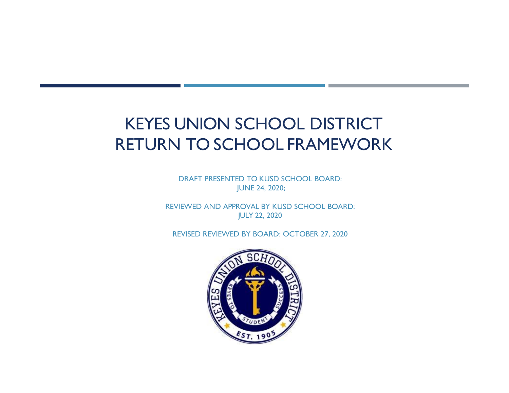# <span id="page-13-0"></span>KEYES UNION SCHOOL DISTRICT RETURN TO SCHOOL FRAMEWORK

DRAFT PRESENTED TO KUSD SCHOOL BOARD: JUNE 24, 2020;

REVIEWED AND APPROVAL BY KUSD SCHOOL BOARD: JULY 22, 2020

REVISED REVIEWED BY BOARD: OCTOBER 27, 2020

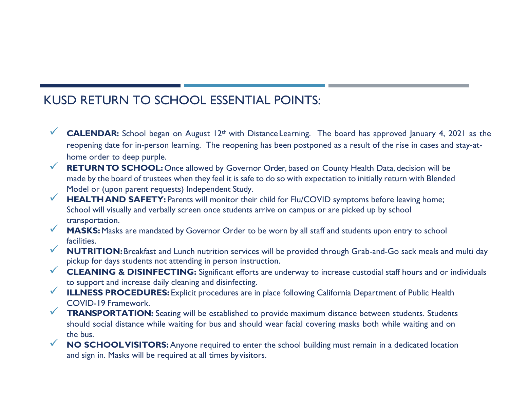## KUSD RETURN TO SCHOOL ESSENTIAL POINTS:

- **<del></del> CALENDAR:** School began on August 12<sup>th</sup> with Distance Learning. The board has approved January 4, 2021 as the reopening date for in-person learning. The reopening has been postponed as a result of the rise in cases and stay-athome order to deep purple.
- **RETURNTO SCHOOL:** Once allowed by Governor Order, based on County Health Data, decision will be made by the board of trustees when they feel it is safe to do so with expectation to initially return with Blended Model or (upon parent requests) Independent Study.
- **HEALTHAND SAFETY:** Parents will monitor their child for Flu/COVID symptoms before leaving home; School will visually and verbally screen once students arrive on campus or are picked up by school transportation.
- **MASKS:** Masks are mandated by Governor Order to be worn by all staff and students upon entry to school facilities.
- **NUTRITION:**Breakfast and Lunch nutrition services will be provided through Grab-and-Go sack meals and multi day pickup for days students not attending in person instruction.
- **CLEANING & DISINFECTING:** Significant efforts are underway to increase custodial staff hours and or individuals to support and increase daily cleaning and disinfecting.
- **ILLNESS PROCEDURES:** Explicit procedures are in place following California Department of Public Health COVID-19 Framework.
- **TRANSPORTATION:** Seating will be established to provide maximum distance between students. Students should social distance while waiting for bus and should wear facial covering masks both while waiting and on the bus.
- **NO SCHOOLVISITORS:**Anyone required to enter the school building must remain in a dedicated location and sign in. Masks will be required at all times byvisitors.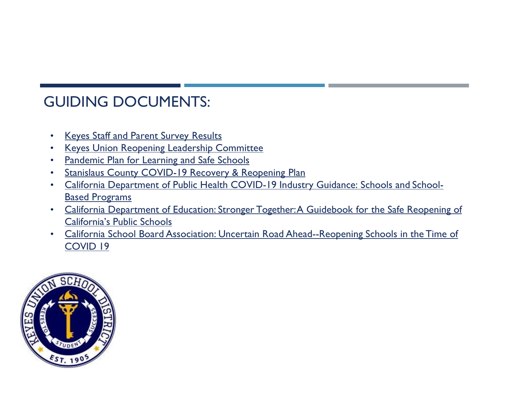# GUIDING DOCUMENTS:

- Keyes Staff and Parent Survey Results
- Keyes Union Reopening Leadership Committee
- Pandemic Plan for Learning and Safe Schools
- Stanislaus County COVID-19 Recovery & Reopening Plan
- California Department of Public Health COVID-19 Industry Guidance: Schools and School-Based Programs
- California Department of Education: Stronger Together: A Guidebook for the Safe Reopening of California's Public Schools
- California School Board Association: Uncertain Road Ahead--Reopening Schools in the Time of COVID 19

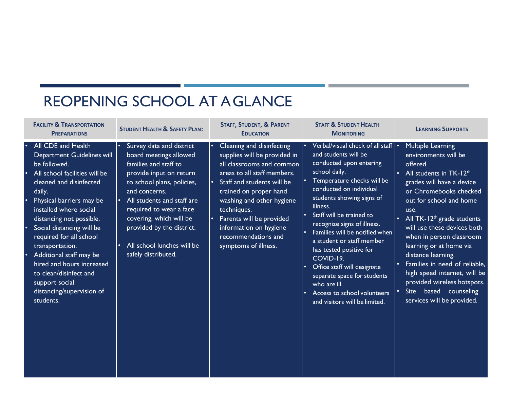# REOPENING SCHOOL AT A GLANCE

| <b>FACILITY &amp; TRANSPORTATION</b><br><b>PREPARATIONS</b>                                                                                                                                                                                                                                                                                                                                                                                       | <b>STUDENT HEALTH &amp; SAFETY PLAN:</b>                                                                                                                                                                                                                                                                                                 | <b>STAFF, STUDENT, &amp; PARENT</b><br><b>EDUCATION</b>                                                                                                                                                                                                                                                                                                  | <b>STAFF &amp; STUDENT HEALTH</b><br><b>MONITORING</b>                                                                                                                                                                                                                                                                                                                                                                                                                                                                                                        | <b>LEARNING SUPPORTS</b>                                                                                                                                                                                                                                                                                                                                                                                                                                                                                                                       |
|---------------------------------------------------------------------------------------------------------------------------------------------------------------------------------------------------------------------------------------------------------------------------------------------------------------------------------------------------------------------------------------------------------------------------------------------------|------------------------------------------------------------------------------------------------------------------------------------------------------------------------------------------------------------------------------------------------------------------------------------------------------------------------------------------|----------------------------------------------------------------------------------------------------------------------------------------------------------------------------------------------------------------------------------------------------------------------------------------------------------------------------------------------------------|---------------------------------------------------------------------------------------------------------------------------------------------------------------------------------------------------------------------------------------------------------------------------------------------------------------------------------------------------------------------------------------------------------------------------------------------------------------------------------------------------------------------------------------------------------------|------------------------------------------------------------------------------------------------------------------------------------------------------------------------------------------------------------------------------------------------------------------------------------------------------------------------------------------------------------------------------------------------------------------------------------------------------------------------------------------------------------------------------------------------|
| All CDE and Health<br>Department Guidelines will<br>be followed.<br>All school facilities will be<br>cleaned and disinfected<br>daily.<br>Physical barriers may be<br>installed where social<br>distancing not possible.<br>Social distancing will be<br>required for all school<br>transportation.<br>Additional staff may be<br>hired and hours increased<br>to clean/disinfect and<br>support social<br>distancing/supervision of<br>students. | Survey data and district<br>board meetings allowed<br>families and staff to<br>provide input on return<br>to school plans, policies,<br>and concerns.<br>All students and staff are<br>$\bullet$<br>required to wear a face<br>covering, which will be<br>provided by the district.<br>All school lunches will be<br>safely distributed. | Cleaning and disinfecting<br>supplies will be provided in<br>all classrooms and common<br>areas to all staff members.<br>Staff and students will be<br>$\bullet$<br>trained on proper hand<br>washing and other hygiene<br>techniques.<br>Parents will be provided<br>$\bullet$<br>information on hygiene<br>recommendations and<br>symptoms of illness. | Verbal/visual check of all staff<br>and students will be<br>conducted upon entering<br>school daily.<br>Temperature checks will be<br>conducted on individual<br>students showing signs of<br>illness.<br>Staff will be trained to<br>$\bullet$<br>recognize signs of illness.<br>Families will be notified when<br>a student or staff member<br>has tested positive for<br>COVID-19.<br>Office staff will designate<br>$\bullet$<br>separate space for students<br>who are ill.<br>Access to school volunteers<br>$\bullet$<br>and visitors will be limited. | <b>Multiple Learning</b><br>environments will be<br>offered.<br>All students in TK-12 <sup>th</sup><br>grades will have a device<br>or Chromebooks checked<br>out for school and home<br>use.<br>All TK-12 <sup>th</sup> grade students<br>$\bullet$<br>will use these devices both<br>when in person classroom<br>learning or at home via<br>distance learning.<br>Families in need of reliable,<br>$\bullet$<br>high speed internet, will be<br>provided wireless hotspots.<br>based counseling<br><b>Site</b><br>services will be provided. |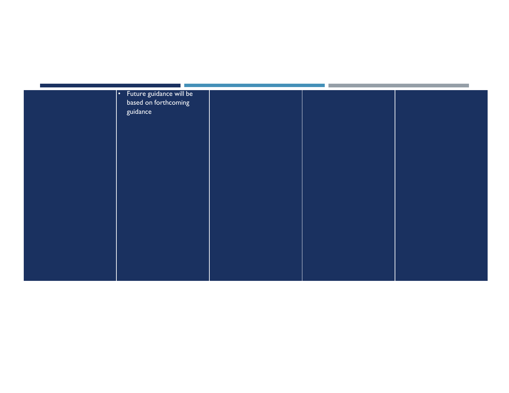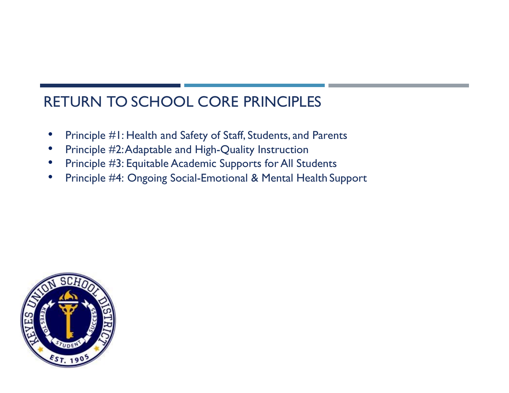# RETURN TO SCHOOL CORE PRINCIPLES

- Principle #1: Health and Safety of Staff, Students, and Parents
- Principle #2: Adaptable and High-Quality Instruction
- Principle #3: Equitable Academic Supports for All Students
- Principle #4: Ongoing Social-Emotional & Mental Health Support

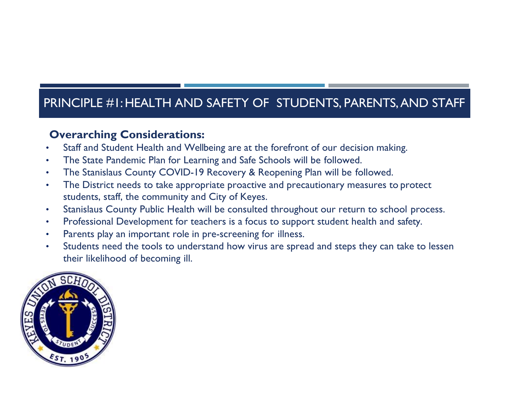## PRINCIPLE #1: HEALTH AND SAFETY OF STUDENTS, PARENTS, AND STAFF

### **Overarching Considerations:**

- Staff and Student Health and Wellbeing are at the forefront of our decision making.
- The State Pandemic Plan for Learning and Safe Schools will be followed.
- The Stanislaus County COVID-19 Recovery & Reopening Plan will be followed.
- The District needs to take appropriate proactive and precautionary measures to protect students, staff, the community and City of Keyes.
- Stanislaus County Public Health will be consulted throughout our return to school process.
- Professional Development for teachers is a focus to support student health and safety.
- Parents play an important role in pre-screening for illness.
- Students need the tools to understand how virus are spread and steps they can take to lessen their likelihood of becoming ill.

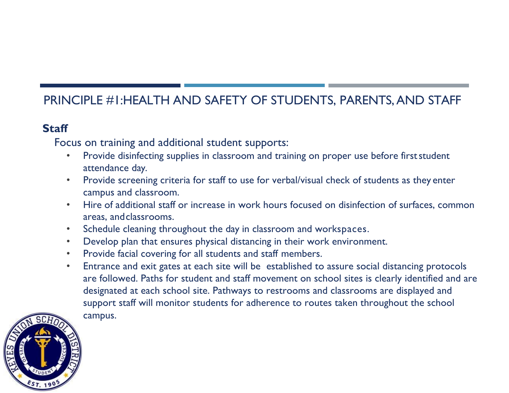## PRINCIPLE #1:HEALTH AND SAFETY OF STUDENTS, PARENTS, AND STAFF

## **Staff**

Focus on training and additional student supports:

- Provide disinfecting supplies in classroom and training on proper use before first student attendance day.
- Provide screening criteria for staff to use for verbal/visual check of students as they enter campus and classroom.
- Hire of additional staff or increase in work hours focused on disinfection of surfaces, common areas, andclassrooms.
- Schedule cleaning throughout the day in classroom and workspaces.
- Develop plan that ensures physical distancing in their work environment.
- Provide facial covering for all students and staff members.
- Entrance and exit gates at each site will be established to assure social distancing protocols are followed. Paths for student and staff movement on school sites is clearly identified and are designated at each school site. Pathways to restrooms and classrooms are displayed and support staff will monitor students for adherence to routes taken throughout the school campus.

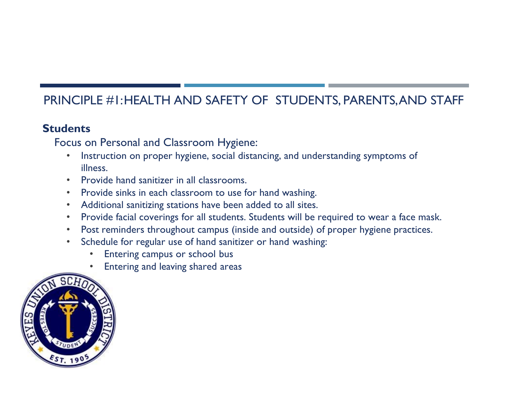## PRINCIPLE #1:HEALTH AND SAFETY OF STUDENTS, PARENTS,AND STAFF

### **Students**

Focus on Personal and Classroom Hygiene:

- Instruction on proper hygiene, social distancing, and understanding symptoms of illness.
- Provide hand sanitizer in all classrooms.
- Provide sinks in each classroom to use for hand washing.
- Additional sanitizing stations have been added to all sites.
- Provide facial coverings for all students. Students will be required to wear a face mask.
- Post reminders throughout campus (inside and outside) of proper hygiene practices.
- Schedule for regular use of hand sanitizer or hand washing:
	- Entering campus or school bus
	- Entering and leaving shared areas

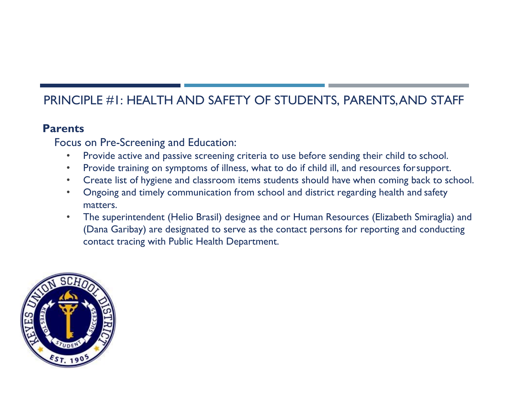## PRINCIPLE #1: HEALTH AND SAFETY OF STUDENTS, PARENTS,AND STAFF

### **Parents**

Focus on Pre-Screening and Education:

- Provide active and passive screening criteria to use before sending their child to school.
- Provide training on symptoms of illness, what to do if child ill, and resources forsupport.
- Create list of hygiene and classroom items students should have when coming back to school.
- Ongoing and timely communication from school and district regarding health and safety matters.
- The superintendent (Helio Brasil) designee and or Human Resources (Elizabeth Smiraglia) and (Dana Garibay) are designated to serve as the contact persons for reporting and conducting contact tracing with Public Health Department.

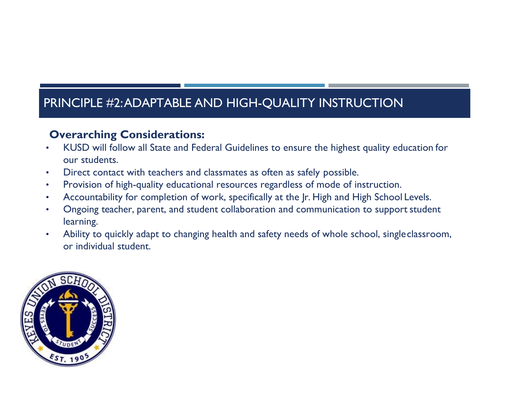## **Overarching Considerations:**

- KUSD will follow all State and Federal Guidelines to ensure the highest quality education for our students.
- Direct contact with teachers and classmates as often as safely possible.
- Provision of high-quality educational resources regardless of mode of instruction.
- Accountability for completion of work, specifically at the Ir. High and High School Levels.
- Ongoing teacher, parent, and student collaboration and communication to support student learning.
- Ability to quickly adapt to changing health and safety needs of whole school, singleclassroom, or individual student.

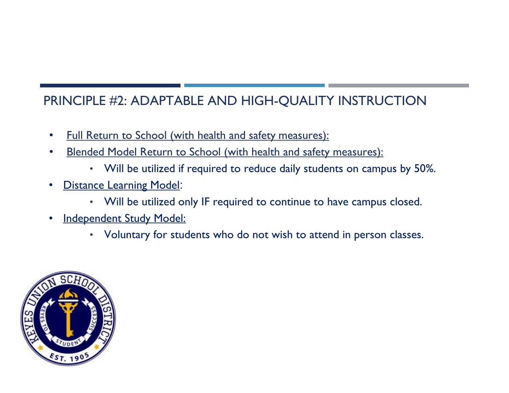- Full Return to School (with health and safety measures):
- Blended Model Return to School (with health and safety measures):
	- Will be utilized if required to reduce daily students on campus by 50%.
- **Distance Learning Model:** 
	- Will be utilized only IF required to continue to have campus closed.
- Independent Study Model:
	- Voluntary for students who do not wish to attend in person classes.

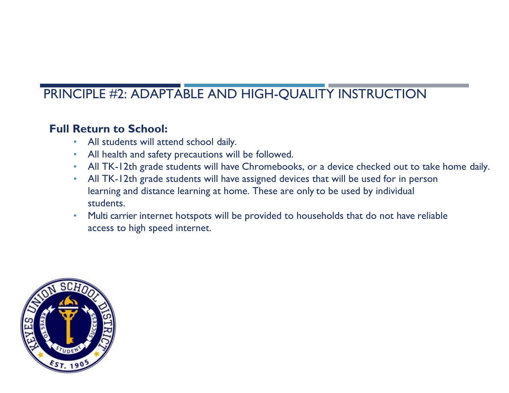## **Full Return to School:**

- All students will attend school daily.
- All health and safety precautions will be followed.
- All TK-12th grade students will have Chromebooks, or a device checked out to take home daily.
- All TK-12th grade students will have assigned devices that will be used for in person learning and distance learning at home. These are only to be used by individual students.
- Multi carrier internet hotspots will be provided to households that do not have reliable access to high speed internet.

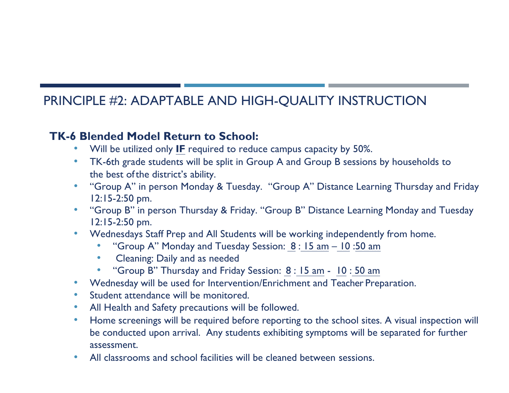### **TK-6 Blended Model Return to School:**

- Will be utilized only **IF** required to reduce campus capacity by 50%.
- TK-6th grade students will be split in Group A and Group B sessions by households to the best of the district's ability.
- "Group A" in person Monday & Tuesday. "Group A" Distance Learning Thursday and Friday 12:15-2:50 pm.
- "Group B" in person Thursday & Friday. "Group B" Distance Learning Monday and Tuesday 12:15-2:50 pm.
- Wednesdays Staff Prep and All Students will be working independently from home.
	- "Group A" Monday and Tuesday Session: 8 : 15 am 10 :50 am
	- Cleaning: Daily and as needed
	- "Group B" Thursday and Friday Session: 8 : 15 am 10 : 50 am
- Wednesday will be used for Intervention/Enrichment and Teacher Preparation.
- Student attendance will be monitored.
- All Health and Safety precautions will be followed.
- Home screenings will be required before reporting to the school sites. A visual inspection will be conducted upon arrival. Any students exhibiting symptoms will be separated for further assessment.
- All classrooms and school facilities will be cleaned between sessions.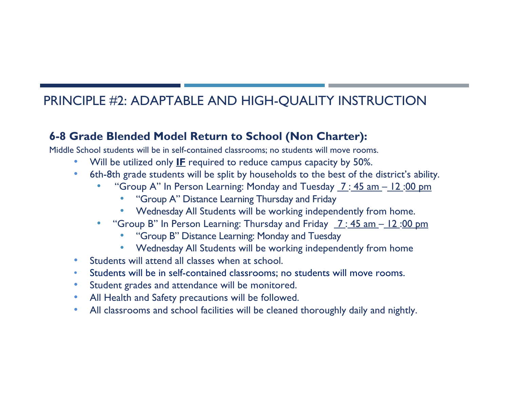## **6-8 Grade Blended Model Return to School (Non Charter):**

Middle School students will be in self-contained classrooms; no students will move rooms.

- Will be utilized only **IF** required to reduce campus capacity by 50%.
- 6th-8th grade students will be split by households to the best of the district's ability.
	- "Group A" In Person Learning: Monday and Tuesday  $7:45$  am  $-12:00$  pm
		- "Group A" Distance Learning Thursday and Friday
		- Wednesday All Students will be working independently from home.
	- "Group B" In Person Learning: Thursday and Friday 7 : 45 am 12 :00 pm
		- "Group B" Distance Learning: Monday and Tuesday
		- Wednesday All Students will be working independently from home
- Students will attend all classes when at school.
- Students will be in self-contained classrooms; no students will move rooms.
- Student grades and attendance will be monitored.
- All Health and Safety precautions will be followed.
- All classrooms and school facilities will be cleaned thoroughly daily and nightly.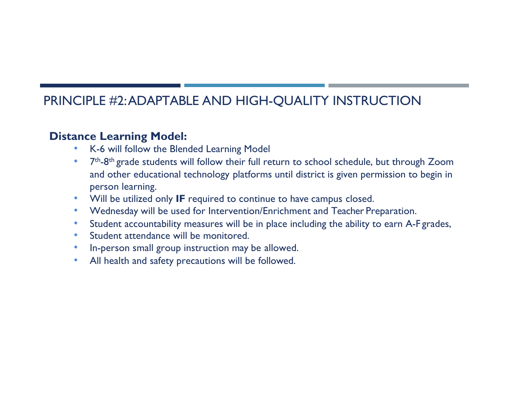### **Distance Learning Model:**

- K-6 will follow the Blended Learning Model
- 7<sup>th</sup>-8<sup>th</sup> grade students will follow their full return to school schedule, but through Zoom and other educational technology platforms until district is given permission to begin in person learning.
- Will be utilized only **IF** required to continue to have campus closed.
- Wednesday will be used for Intervention/Enrichment and Teacher Preparation.
- Student accountability measures will be in place including the ability to earn A-F grades,
- Student attendance will be monitored.
- In-person small group instruction may be allowed.
- All health and safety precautions will be followed.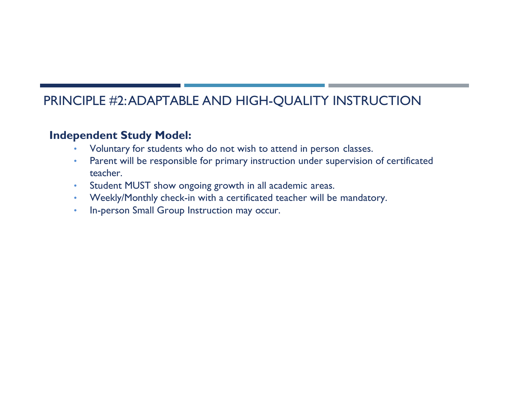## **Independent Study Model:**

- Voluntary for students who do not wish to attend in person classes.
- Parent will be responsible for primary instruction under supervision of certificated teacher.
- Student MUST show ongoing growth in all academic areas.
- Weekly/Monthly check-in with a certificated teacher will be mandatory.
- In-person Small Group Instruction may occur.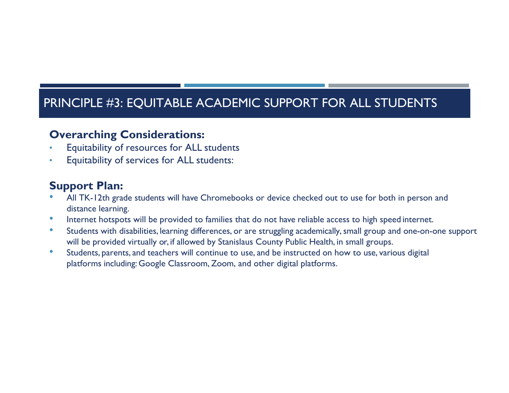## PRINCIPLE #3: EQUITABLE ACADEMIC SUPPORT FOR ALL STUDENTS

### **Overarching Considerations:**

- Equitability of resources for ALL students
- Equitability of services for ALL students:

### **Support Plan:**

- All TK-12th grade students will have Chromebooks or device checked out to use for both in person and distance learning.
- Internet hotspots will be provided to families that do not have reliable access to high speed internet.
- Students with disabilities, learning differences, or are struggling academically, small group and one-on-one support will be provided virtually or, if allowed by Stanislaus County Public Health, in small groups.
- Students, parents, and teachers will continue to use, and be instructed on how to use, various digital platforms including: Google Classroom, Zoom, and other digital platforms.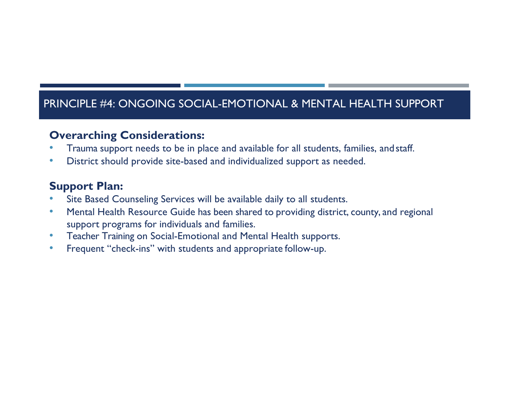## PRINCIPLE #4: ONGOING SOCIAL-EMOTIONAL & MENTAL HEALTH SUPPORT

### **Overarching Considerations:**

- Trauma support needs to be in place and available for all students, families, andstaff.
- District should provide site-based and individualized support as needed.

### **Support Plan:**

- Site Based Counseling Services will be available daily to all students.
- Mental Health Resource Guide has been shared to providing district, county, and regional support programs for individuals and families.
- Teacher Training on Social-Emotional and Mental Health supports.
- Frequent "check-ins" with students and appropriate follow-up.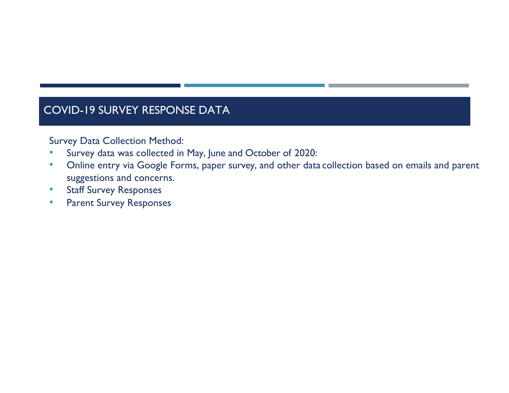## COVID-19 SURVEY RESPONSE DATA

Survey Data Collection Method:

- Survey data was collected in May, June and October of 2020:
- Online entry via Google Forms, paper survey, and other data collection based on emails and parent suggestions and concerns.
- Staff Survey Responses
- Parent Survey Responses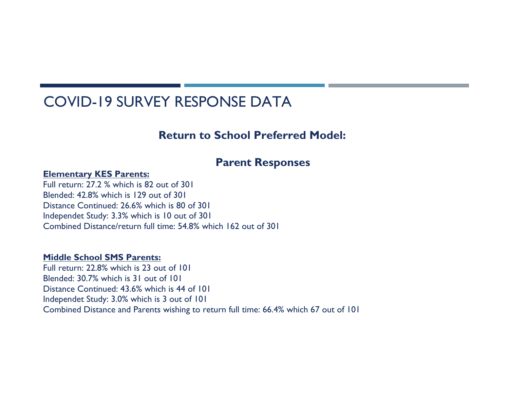# COVID-19 SURVEY RESPONSE DATA

### **Return to School Preferred Model:**

### **Parent Responses**

### **Elementary KES Parents:**

Full return: 27.2 % which is 82 out of 301 Blended: 42.8% which is 129 out of 301 Distance Continued: 26.6% which is 80 of 301 Independet Study: 3.3% which is 10 out of 301 Combined Distance/return full time: 54.8% which 162 out of 301

### **Middle School SMS Parents:**

Full return: 22.8% which is 23 out of 101 Blended: 30.7% which is 31 out of 101 Distance Continued: 43.6% which is 44 of 101 Independet Study: 3.0% which is 3 out of 101 Combined Distance and Parents wishing to return full time: 66.4% which 67 out of 101